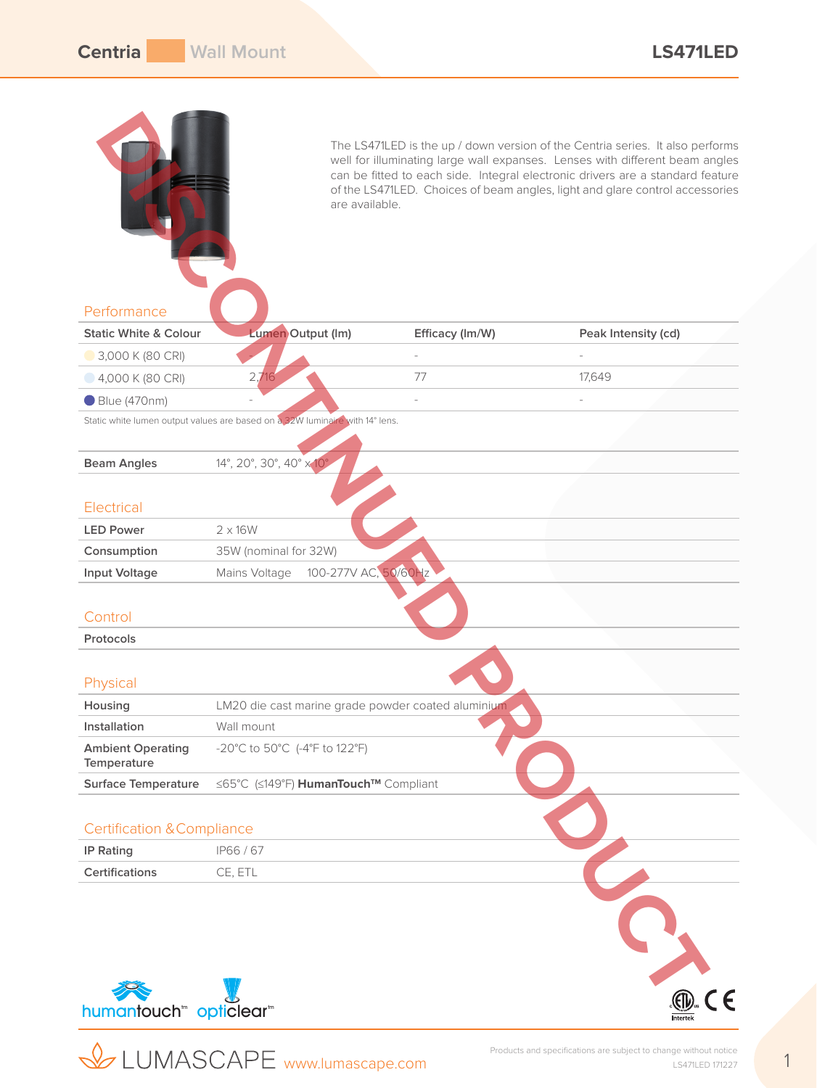|                                                | are available.                                                               |                 | The LS471LED is the up / down version of the Centria series. It also performs<br>well for illuminating large wall expanses. Lenses with different beam angles<br>can be fitted to each side. Integral electronic drivers are a standard feature<br>of the LS471LED. Choices of beam angles, light and glare control accessories |
|------------------------------------------------|------------------------------------------------------------------------------|-----------------|---------------------------------------------------------------------------------------------------------------------------------------------------------------------------------------------------------------------------------------------------------------------------------------------------------------------------------|
| Performance                                    |                                                                              |                 |                                                                                                                                                                                                                                                                                                                                 |
| <b>Static White &amp; Colour</b>               | Lumen Output (Im)                                                            | Efficacy (Im/W) | Peak Intensity (cd)                                                                                                                                                                                                                                                                                                             |
| 3,000 K (80 CRI)                               |                                                                              |                 |                                                                                                                                                                                                                                                                                                                                 |
| $-4,000$ K (80 CRI)                            | 2,716                                                                        | 77              | 17,649                                                                                                                                                                                                                                                                                                                          |
| ● Blue (470nm)                                 |                                                                              |                 |                                                                                                                                                                                                                                                                                                                                 |
|                                                | Static white lumen output values are based on a 32W luminaire with 14° lens. |                 |                                                                                                                                                                                                                                                                                                                                 |
|                                                |                                                                              |                 |                                                                                                                                                                                                                                                                                                                                 |
| <b>Beam Angles</b>                             | 14°, 20°, 30°, 40° x 10°                                                     |                 |                                                                                                                                                                                                                                                                                                                                 |
| Electrical                                     |                                                                              |                 |                                                                                                                                                                                                                                                                                                                                 |
| <b>LED Power</b>                               | $2 \times 16W$                                                               |                 |                                                                                                                                                                                                                                                                                                                                 |
| Consumption                                    | 35W (nominal for 32W)                                                        |                 |                                                                                                                                                                                                                                                                                                                                 |
| <b>Input Voltage</b>                           | 100-277V AC, 50/60Hz<br>Mains Voltage                                        |                 |                                                                                                                                                                                                                                                                                                                                 |
| Control<br>Protocols                           |                                                                              |                 |                                                                                                                                                                                                                                                                                                                                 |
| Physical                                       |                                                                              |                 |                                                                                                                                                                                                                                                                                                                                 |
| Housing                                        | LM20 die cast marine grade powder coated aluminium                           |                 |                                                                                                                                                                                                                                                                                                                                 |
| Installation                                   | Wall mount                                                                   |                 |                                                                                                                                                                                                                                                                                                                                 |
| <b>Ambient Operating</b><br>Temperature        | -20°C to 50°C (-4°F to 122°F)                                                |                 |                                                                                                                                                                                                                                                                                                                                 |
| <b>Surface Temperature</b>                     | ≤65°C (≤149°F) HumanTouch™ Compliant                                         |                 |                                                                                                                                                                                                                                                                                                                                 |
| <b>Certification &amp; Compliance</b>          |                                                                              |                 |                                                                                                                                                                                                                                                                                                                                 |
| <b>IP Rating</b>                               | IP66/67                                                                      |                 |                                                                                                                                                                                                                                                                                                                                 |
| Certifications                                 | CE, ETL                                                                      |                 |                                                                                                                                                                                                                                                                                                                                 |
| humantouch <sup>"</sup> opticlear <sup>"</sup> |                                                                              |                 | CE                                                                                                                                                                                                                                                                                                                              |